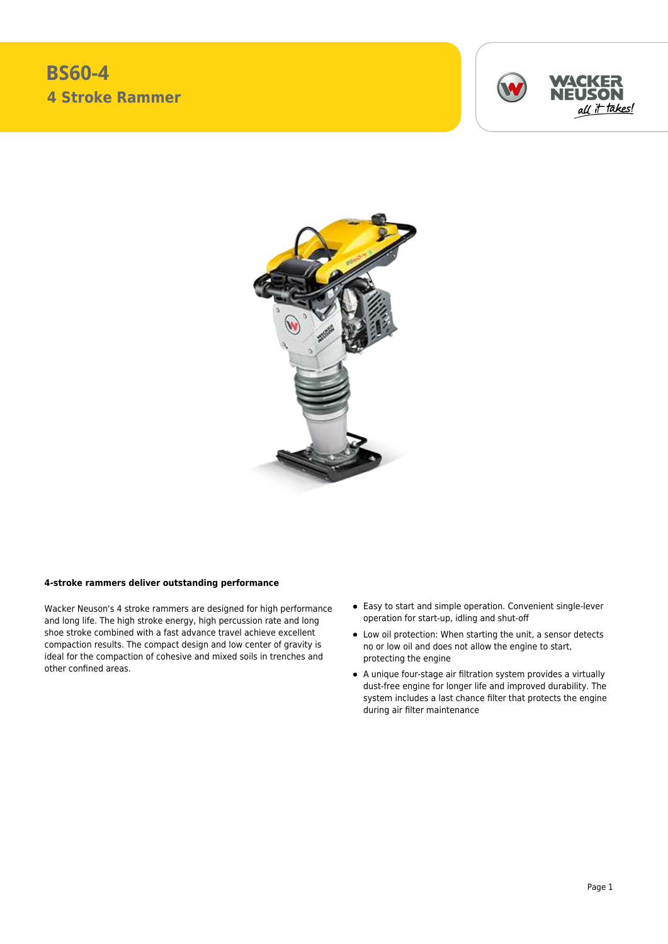## **BS50-4 BS60-4 BS70-4 BS60-44 Stroke Rammer**





## **4-stroke rammers deliver outstanding performance**

Wacker Neuson's 4 stroke rammers are designed for high performance and long life. The high stroke energy, high percussion rate and long shoe stroke combined with a fast advance travel achieve excellent compaction results. The compact design and low center of gravity is ideal for the compaction of cohesive and mixed soils in trenches and other confined areas.

- Easy to start and simple operation. Convenient single-lever operation for start-up, idling and shut-off
- Low oil protection: When starting the unit, a sensor detects no or low oil and does not allow the engine to start, protecting the engine
- A unique four-stage air filtration system provides a virtually dust-free engine for longer life and improved durability. The system includes a last chance filter that protects the engine during air filter maintenance